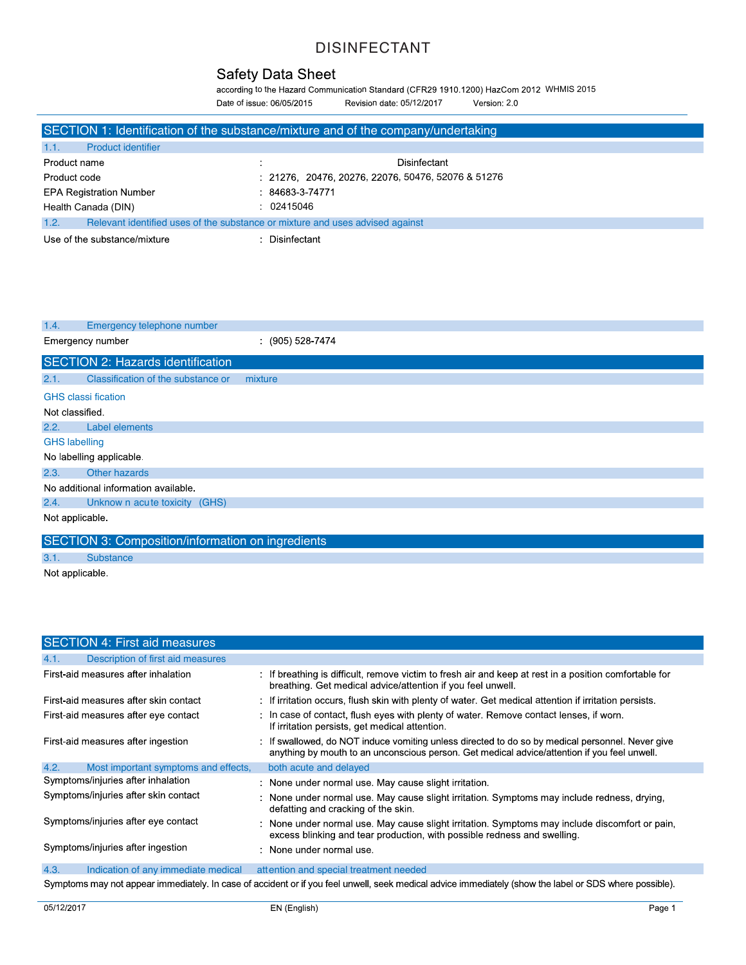according to the Hazard Communication Standard (CFR29 1910.1200) HazCom 2012 WHMIS 2015 Date of issue: 06/05/2015 Revision date: 05/12/2017 Version: 2.0

|                                                                                       | SECTION 1: Identification of the substance/mixture and of the company/undertaking |
|---------------------------------------------------------------------------------------|-----------------------------------------------------------------------------------|
| 1.1.<br><b>Product identifier</b>                                                     |                                                                                   |
| Product name                                                                          | Disinfectant                                                                      |
| Product code                                                                          | $: 21276, 20476, 20276, 22076, 50476, 52076 & 51276$                              |
| <b>EPA Registration Number</b>                                                        | $: 84683 - 3 - 74771$                                                             |
| Health Canada (DIN)                                                                   | : 02415046                                                                        |
| Relevant identified uses of the substance or mixture and uses advised against<br>1.2. |                                                                                   |
| Use of the substance/mixture                                                          | : Disinfectant                                                                    |

| 1.4.                                 | Emergency telephone number                        |                  |  |
|--------------------------------------|---------------------------------------------------|------------------|--|
|                                      | Emergency number                                  | $(905)$ 528-7474 |  |
|                                      | SECTION 2: Hazards identification                 |                  |  |
| 2.1.                                 | Classification of the substance or                | mixture          |  |
|                                      | <b>GHS</b> classi fication                        |                  |  |
| Not classified.                      |                                                   |                  |  |
| 2.2.                                 | Label elements                                    |                  |  |
|                                      | <b>GHS labelling</b>                              |                  |  |
|                                      | No labelling applicable                           |                  |  |
| 2.3.                                 | Other hazards                                     |                  |  |
| No additional information available. |                                                   |                  |  |
| 2.4.                                 | Unknow n acute toxicity (GHS)                     |                  |  |
| Not applicable.                      |                                                   |                  |  |
|                                      | SECTION 3: Composition/information on ingredients |                  |  |
| 3.1.                                 | <b>Substance</b>                                  |                  |  |

Not applicable

| SECTION 4: First aid measures                |                                                                                                                                                                                                |
|----------------------------------------------|------------------------------------------------------------------------------------------------------------------------------------------------------------------------------------------------|
| Description of first aid measures<br>4.1.    |                                                                                                                                                                                                |
| First-aid measures after inhalation          | If breathing is difficult, remove victim to fresh air and keep at rest in a position comfortable for<br>breathing. Get medical advice/attention if you feel unwell.                            |
| First-aid measures after skin contact        | : If irritation occurs, flush skin with plenty of water. Get medical attention if irritation persists.                                                                                         |
| First-aid measures after eye contact         | In case of contact, flush eyes with plenty of water. Remove contact lenses, if worn.<br>If irritation persists, get medical attention.                                                         |
| First-aid measures after ingestion           | If swallowed, do NOT induce vomiting unless directed to do so by medical personnel. Never give<br>anything by mouth to an unconscious person. Get medical advice/attention if you feel unwell. |
| 4.2.<br>Most important symptoms and effects, | both acute and delayed                                                                                                                                                                         |
| Symptoms/injuries after inhalation           | : None under normal use. May cause slight irritation.                                                                                                                                          |
| Symptoms/injuries after skin contact         | : None under normal use. May cause slight irritation. Symptoms may include redness, drying,<br>defatting and cracking of the skin.                                                             |
| Symptoms/injuries after eye contact          | : None under normal use. May cause slight irritation. Symptoms may include discomfort or pain,<br>excess blinking and tear production, with possible redness and swelling.                     |
| Symptoms/injuries after ingestion            | None under normal use.                                                                                                                                                                         |
| 4.3.<br>Indication of any immediate medical  | attention and special treatment needed                                                                                                                                                         |
|                                              |                                                                                                                                                                                                |

Symptoms may not appear immediately. In case of accident or if you feel unwell, seek medical advice immediately (show the label or SDS where possible).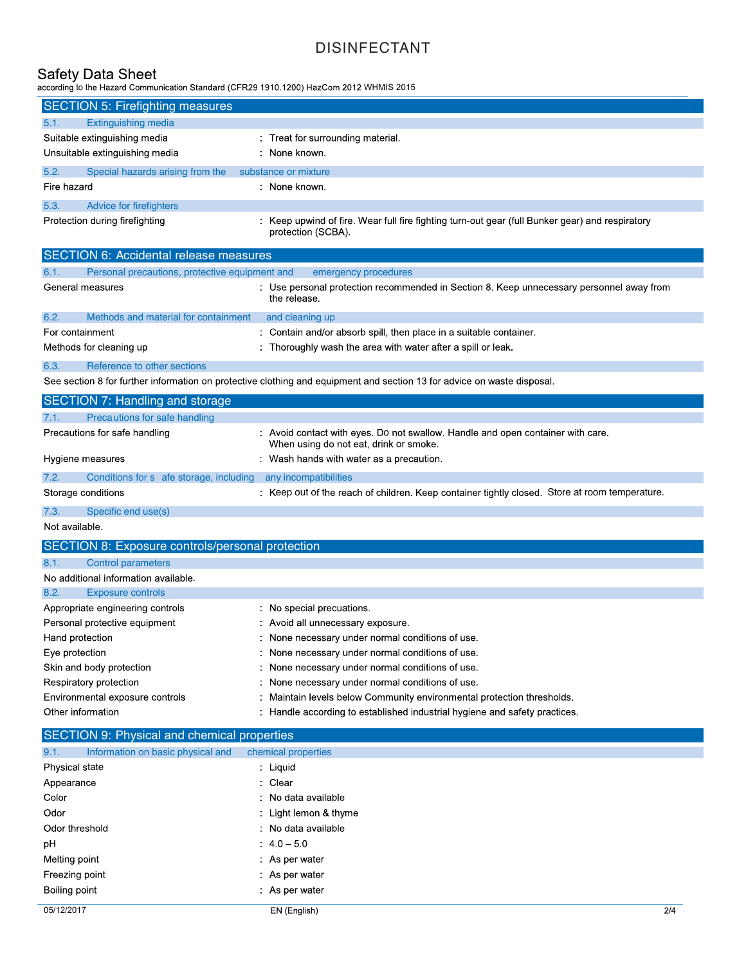to the Hazard Communication Standard (CFR29 1910.1200) HazCom 2012 WHMIS 2015

| <b>SECTION 5: Firefighting measures</b> |                                  |                                                                                                                       |  |
|-----------------------------------------|----------------------------------|-----------------------------------------------------------------------------------------------------------------------|--|
| 5.1.                                    | Extinguishing media              |                                                                                                                       |  |
| Suitable extinguishing media            |                                  | : Treat for surrounding material                                                                                      |  |
|                                         | Unsuitable extinguishing media   | : None known.                                                                                                         |  |
| 5.2.                                    | Special hazards arising from the | substance or mixture                                                                                                  |  |
| Fire hazard                             |                                  | : None known.                                                                                                         |  |
| 5.3.                                    | Advice for firefighters          |                                                                                                                       |  |
|                                         | Protection during firefighting   | : Keep upwind of fire. Wear full fire fighting turn-out gear (full Bunker gear) and respiratory<br>protection (SCBA). |  |

| <b>SECTION 6: Accidental release measures</b>                                                                           |                                                                                       |                                                                                                          |
|-------------------------------------------------------------------------------------------------------------------------|---------------------------------------------------------------------------------------|----------------------------------------------------------------------------------------------------------|
| 6.1.                                                                                                                    | Personal precautions, protective equipment and<br>emergency procedures                |                                                                                                          |
| General measures                                                                                                        |                                                                                       | : Use personal protection recommended in Section 8. Keep unnecessary personnel away from<br>the release. |
| 6.2.                                                                                                                    | Methods and material for containment                                                  | and cleaning up                                                                                          |
|                                                                                                                         | : Contain and/or absorb spill, then place in a suitable container.<br>For containment |                                                                                                          |
|                                                                                                                         | Methods for cleaning up                                                               | : Thoroughly wash the area with water after a spill or leak.                                             |
| 6.3.                                                                                                                    | Reference to other sections                                                           |                                                                                                          |
| See section 8 for further information on protective clothing and equipment and section 13 for advice on waste disposal. |                                                                                       |                                                                                                          |

|                          | SECTION 7: Handling and storage         |                                                                                                                           |
|--------------------------|-----------------------------------------|---------------------------------------------------------------------------------------------------------------------------|
| 7.1.                     | Precautions for safe handling           |                                                                                                                           |
|                          | Precautions for safe handling           | : Avoid contact with eyes. Do not swallow. Handle and open container with care.<br>When using do not eat, drink or smoke. |
| Hygiene measures         |                                         | : Wash hands with water as a precaution.                                                                                  |
| 7.2.                     | Conditions for s afe storage, including | any incompatibilities                                                                                                     |
|                          | Storage conditions                      | : Keep out of the reach of children. Keep container tightly closed. Store at room temperature.                            |
| $\overline{\phantom{0}}$ | $O = -100$ and $O = -100$               |                                                                                                                           |

7.3. Specific end use(s)

Not available.

| SECTION 8: Exposure controls/personal protection |                                                                            |  |
|--------------------------------------------------|----------------------------------------------------------------------------|--|
| 8.1.<br><b>Control parameters</b>                |                                                                            |  |
| No additional information available.             |                                                                            |  |
| 8.2.<br><b>Exposure controls</b>                 |                                                                            |  |
| Appropriate engineering controls                 | : No special precuations.                                                  |  |
| Personal protective equipment                    | : Avoid all unnecessary exposure.                                          |  |
| Hand protection                                  | : None necessary under normal conditions of use.                           |  |
| Eye protection                                   | : None necessary under normal conditions of use.                           |  |
| Skin and body protection                         | : None necessary under normal conditions of use.                           |  |
| Respiratory protection                           | : None necessary under normal conditions of use.                           |  |
| Environmental exposure controls                  | : Maintain levels below Community environmental protection thresholds.     |  |
| Other information                                | : Handle according to established industrial hygiene and safety practices. |  |

# SECTION 9: Physical and chemical properties

| 9.1.          | Information on basic physical and | chemical properties   |     |
|---------------|-----------------------------------|-----------------------|-----|
|               | Physical state                    | : Liquid              |     |
| Appearance    |                                   | : Clear               |     |
| Color         |                                   | : No data available   |     |
| Odor          |                                   | : Light lemon & thyme |     |
|               | Odor threshold                    | : No data available   |     |
| pH            |                                   | $.4.0 - 5.0$          |     |
| Melting point |                                   | : As per water        |     |
|               | Freezing point                    | : As per water        |     |
| Boiling point |                                   | : As per water        |     |
| 05/12/2017    |                                   | EN (English)          | 2/4 |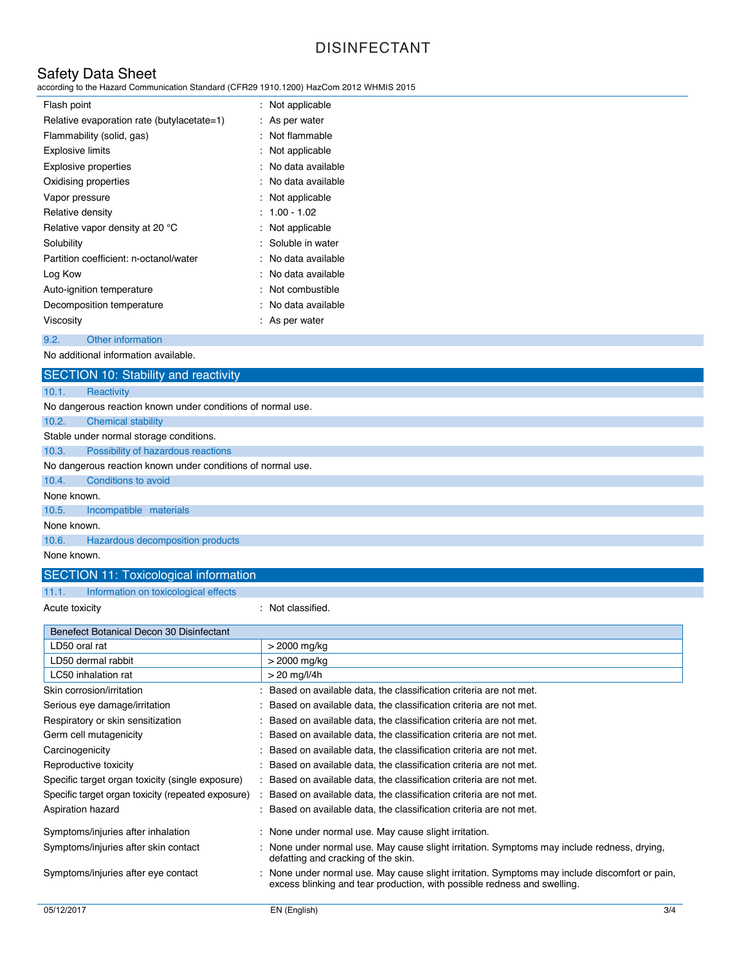Safety Data Sheet according to the Hazard Communication Standard (CFR29 1910.1200) HazCom 2012 WHMIS 2015

| Flash point                                | : Not applicable    |
|--------------------------------------------|---------------------|
| Relative evaporation rate (butylacetate=1) | : As per water      |
| Flammability (solid, gas)                  | : Not flammable     |
| <b>Explosive limits</b>                    | : Not applicable    |
| Explosive properties                       | : No data available |
| Oxidising properties                       | : No data available |
| Vapor pressure                             | : Not applicable    |
| Relative density                           | $: 1.00 - 1.02$     |
| Relative vapor density at 20 °C            | $:$ Not applicable  |
| Solubility                                 | : Soluble in water  |
| Partition coefficient: n-octanol/water     | : No data available |
| Log Kow                                    | : No data available |
| Auto-ignition temperature                  | : Not combustible   |
| Decomposition temperature                  | : No data available |
| Viscosity                                  | : As per water      |
| 9.2.<br>Other information                  |                     |

No additional information available.

|                                                             | SECTION 10: Stability and reactivity                        |  |
|-------------------------------------------------------------|-------------------------------------------------------------|--|
| 10.1.                                                       | Reactivity                                                  |  |
|                                                             | No dangerous reaction known under conditions of normal use. |  |
| 10.2.                                                       | <b>Chemical stability</b>                                   |  |
|                                                             | Stable under normal storage conditions.                     |  |
| 10.3.                                                       | Possibility of hazardous reactions                          |  |
| No dangerous reaction known under conditions of normal use. |                                                             |  |
| 10.4.                                                       | Conditions to avoid                                         |  |
| None known.                                                 |                                                             |  |
| 10.5.                                                       | Incompatible materials                                      |  |
| None known.                                                 |                                                             |  |
| 10.6.                                                       | Hazardous decomposition products                            |  |
| None known.                                                 |                                                             |  |

# SECTION 11: Toxicological information

11.1. Information on toxicological effects

Acute toxicity in the contract of the classified.

| Benefect Botanical Decon 30 Disinfectant           |                                                                                                                                                                          |
|----------------------------------------------------|--------------------------------------------------------------------------------------------------------------------------------------------------------------------------|
| LD50 oral rat                                      | > 2000 mg/kg                                                                                                                                                             |
| LD50 dermal rabbit                                 | > 2000 mg/kg                                                                                                                                                             |
| LC50 inhalation rat                                | $>$ 20 mg/l/4h                                                                                                                                                           |
| Skin corrosion/irritation                          | Based on available data, the classification criteria are not met.                                                                                                        |
| Serious eye damage/irritation                      | Based on available data, the classification criteria are not met.                                                                                                        |
| Respiratory or skin sensitization                  | Based on available data, the classification criteria are not met.                                                                                                        |
| Germ cell mutagenicity                             | Based on available data, the classification criteria are not met.                                                                                                        |
| Carcinogenicity                                    | Based on available data, the classification criteria are not met.                                                                                                        |
| Reproductive toxicity                              | Based on available data, the classification criteria are not met.                                                                                                        |
| Specific target organ toxicity (single exposure)   | : Based on available data, the classification criteria are not met.                                                                                                      |
| Specific target organ toxicity (repeated exposure) | Based on available data, the classification criteria are not met.                                                                                                        |
| Aspiration hazard                                  | Based on available data, the classification criteria are not met.                                                                                                        |
| Symptoms/injuries after inhalation                 | : None under normal use. May cause slight irritation.                                                                                                                    |
| Symptoms/injuries after skin contact               | None under normal use. May cause slight irritation. Symptoms may include redness, drying,<br>defatting and cracking of the skin.                                         |
| Symptoms/injuries after eye contact                | None under normal use. May cause slight irritation. Symptoms may include discomfort or pain,<br>excess blinking and tear production, with possible redness and swelling. |
|                                                    |                                                                                                                                                                          |